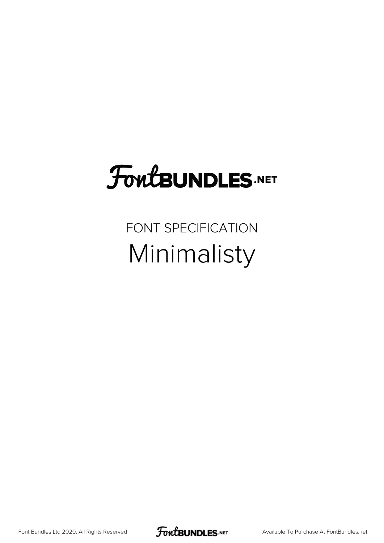## FoutBUNDLES.NET

FONT SPECIFICATION Minimalisty

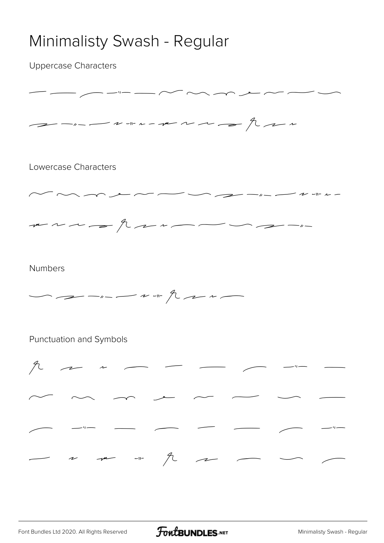## Minimalisty Swash - Regular

**Uppercase Characters** 

| Lowercase Characters                                                                   |
|----------------------------------------------------------------------------------------|
| $m \sim \sim \Rightarrow \beta \sim \gamma \sim \gamma \sim \gamma \rightarrow \gamma$ |
| <b>Numbers</b>                                                                         |
|                                                                                        |
| <b>Punctuation and Symbols</b>                                                         |
| $ -$                                                                                   |
|                                                                                        |
| $ \sim$ $\sim$ $   -$                                                                  |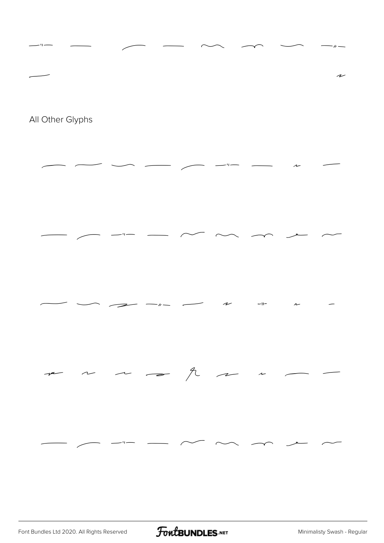





 $\overline{\nu}$  -

 $\overline{\phantom{a}}$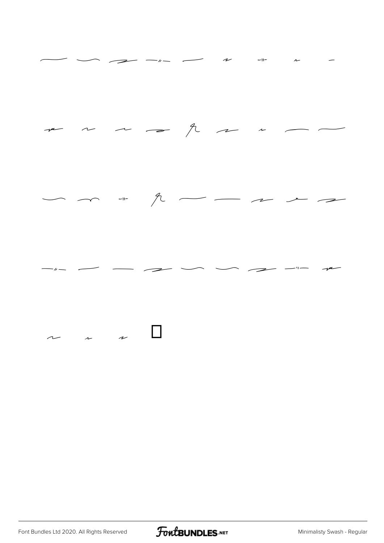|        | $\rightarrow$  |  | $-\gamma$ $-\gamma$ $\sim$ $-\gamma$                                                                                                                                                                                                                                                                                                                                                                                                                                                     |  |  |
|--------|----------------|--|------------------------------------------------------------------------------------------------------------------------------------------------------------------------------------------------------------------------------------------------------------------------------------------------------------------------------------------------------------------------------------------------------------------------------------------------------------------------------------------|--|--|
|        |                |  |                                                                                                                                                                                                                                                                                                                                                                                                                                                                                          |  |  |
|        |                |  | $\begin{array}{cccccccccccccccccc} \multicolumn{4}{c}{} & \multicolumn{4}{c}{} & \multicolumn{4}{c}{} & \multicolumn{4}{c}{} & \multicolumn{4}{c}{} & \multicolumn{4}{c}{} & \multicolumn{4}{c}{} & \multicolumn{4}{c}{} & \multicolumn{4}{c}{} & \multicolumn{4}{c}{} & \multicolumn{4}{c}{} & \multicolumn{4}{c}{} & \multicolumn{4}{c}{} & \multicolumn{4}{c}{} & \multicolumn{4}{c}{} & \multicolumn{4}{c}{} & \multicolumn{4}{c}{} & \multicolumn{4}{c}{} & \multicolumn{4}{c}{} &$ |  |  |
|        |                |  |                                                                                                                                                                                                                                                                                                                                                                                                                                                                                          |  |  |
| $\sim$ | $\overline{1}$ |  |                                                                                                                                                                                                                                                                                                                                                                                                                                                                                          |  |  |

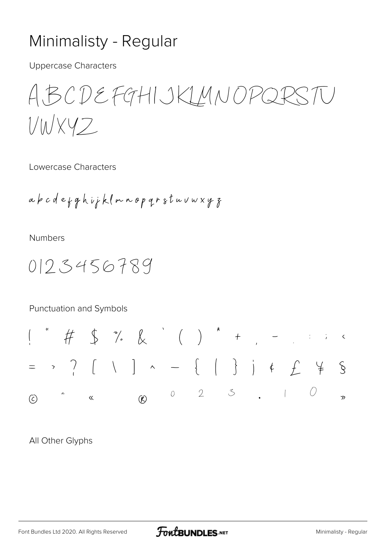## Minimalisty - Regular

**Uppercase Characters** 

ABCDEFGHIJKLUNOPQRSTU VWXYZ

Lowercase Characters

**Numbers** 

0123456789

Punctuation and Symbols

All Other Glyphs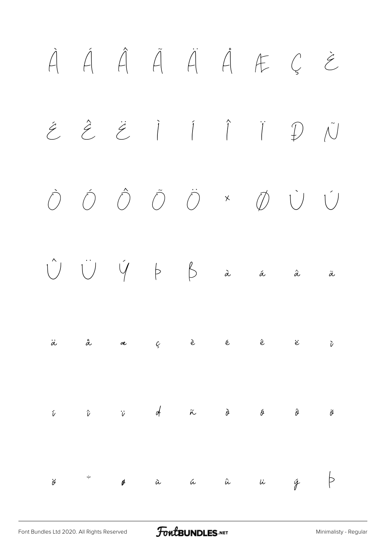